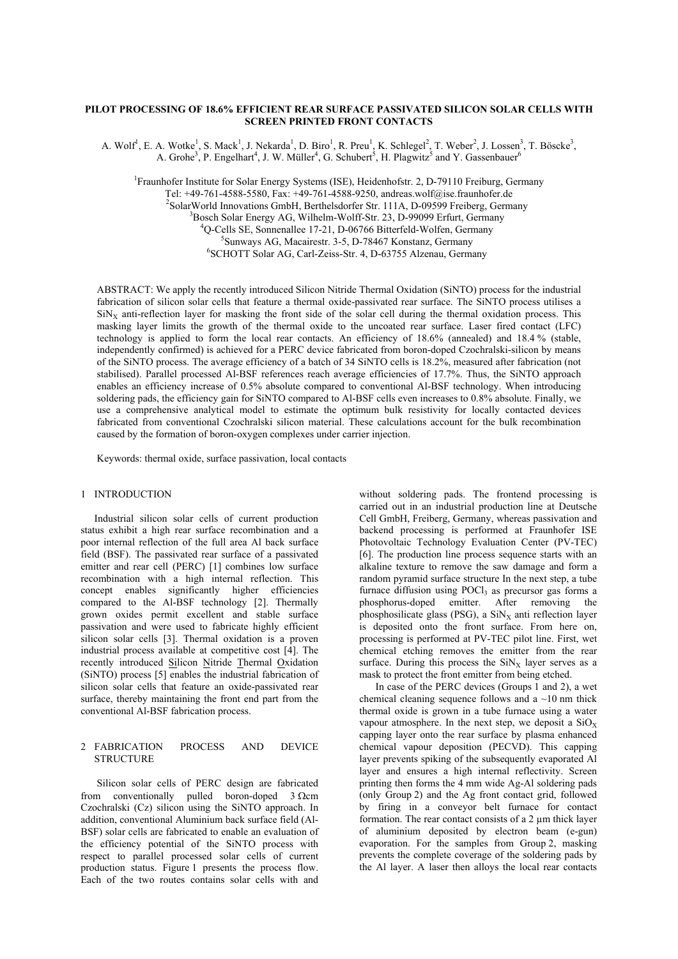# **PILOT PROCESSING OF 18.6% EFFICIENT REAR SURFACE PASSIVATED SILICON SOLAR CELLS WITH SCREEN PRINTED FRONT CONTACTS**

A. Wolf<sup>1</sup>, E. A. Wotke<sup>1</sup>, S. Mack<sup>1</sup>, J. Nekarda<sup>1</sup>, D. Biro<sup>1</sup>, R. Preu<sup>1</sup>, K. Schlegel<sup>2</sup>, T. Weber<sup>2</sup>, J. Lossen<sup>3</sup>, T. Böscke<sup>3</sup>, A. Grohe<sup>3</sup>, P. Engelhart<sup>4</sup>, J. W. Müller<sup>4</sup>, G. Schubert<sup>5</sup>, H. Plagwitz<sup>5</sup> and Y. Gassenbauer<sup>6</sup>

<sup>1</sup> Fraunhofer Institute for Solar Energy Systems (ISE), Heidenhofstr. 2, D-79110 Freiburg, Germany Tel: +49-761-4588-5580, Fax: +49-761-4588-9250, andreas.wolf@ise.fraunhofer.de  $^{2}$ SolarWorld Innovations GmbH, Berthelsdorfer Str. 111A, D-09599 Freiberg, Germany <sup>3</sup>Bosch Solar Energy AG, Wilhelm-Wolff-Str. 23, D-99099 Erfurt, Germany <sup>4</sup>Q-Cells SE, Sonnenallee 17-21, D-06766 Bitterfeld-Wolfen, Germany <sup>5</sup>Sunways AG, Macairestr. 3-5, D-78467 Konstanz, Germany SCHOTT Solar AG, Carl-Zeiss-Str. 4, D-63755 Alzenau, Germany

ABSTRACT: We apply the recently introduced Silicon Nitride Thermal Oxidation (SiNTO) process for the industrial fabrication of silicon solar cells that feature a thermal oxide-passivated rear surface. The SiNTO process utilises a  $\text{SiN}_x$  anti-reflection layer for masking the front side of the solar cell during the thermal oxidation process. This masking layer limits the growth of the thermal oxide to the uncoated rear surface. Laser fired contact (LFC) technology is applied to form the local rear contacts. An efficiency of 18.6% (annealed) and 18.4 % (stable, independently confirmed) is achieved for a PERC device fabricated from boron-doped Czochralski-silicon by means of the SiNTO process. The average efficiency of a batch of 34 SiNTO cells is 18.2%, measured after fabrication (not stabilised). Parallel processed Al-BSF references reach average efficiencies of 17.7%. Thus, the SiNTO approach enables an efficiency increase of 0.5% absolute compared to conventional Al-BSF technology. When introducing soldering pads, the efficiency gain for SiNTO compared to Al-BSF cells even increases to 0.8% absolute. Finally, we use a comprehensive analytical model to estimate the optimum bulk resistivity for locally contacted devices fabricated from conventional Czochralski silicon material. These calculations account for the bulk recombination caused by the formation of boron-oxygen complexes under carrier injection.

Keywords: thermal oxide, surface passivation, local contacts

### 1 INTRODUCTION

 Industrial silicon solar cells of current production status exhibit a high rear surface recombination and a poor internal reflection of the full area Al back surface field (BSF). The passivated rear surface of a passivated emitter and rear cell (PERC) [1] combines low surface recombination with a high internal reflection. This concept enables significantly higher efficiencies compared to the Al-BSF technology [2]. Thermally grown oxides permit excellent and stable surface passivation and were used to fabricate highly efficient silicon solar cells [3]. Thermal oxidation is a proven industrial process available at competitive cost [4]. The recently introduced Silicon Nitride Thermal Oxidation (SiNTO) process [5] enables the industrial fabrication of silicon solar cells that feature an oxide-passivated rear surface, thereby maintaining the front end part from the conventional Al-BSF fabrication process.

### 2 FABRICATION PROCESS AND DEVICE **STRUCTURE**

Silicon solar cells of PERC design are fabricated from conventionally pulled boron-doped  $3 \Omega$ cm Czochralski (Cz) silicon using the SiNTO approach. In addition, conventional Aluminium back surface field (Al-BSF) solar cells are fabricated to enable an evaluation of the efficiency potential of the SiNTO process with respect to parallel processed solar cells of current production status. Figure 1 presents the process flow. Each of the two routes contains solar cells with and without soldering pads. The frontend processing is carried out in an industrial production line at Deutsche Cell GmbH, Freiberg, Germany, whereas passivation and backend processing is performed at Fraunhofer ISE Photovoltaic Technology Evaluation Center (PV-TEC) [6]. The production line process sequence starts with an alkaline texture to remove the saw damage and form a random pyramid surface structure In the next step, a tube furnace diffusion using  $POC1<sub>3</sub>$  as precursor gas forms a phosphorus-doped emitter. After removing the phosphosilicate glass (PSG), a  $\text{SiN}_X$  anti reflection layer is deposited onto the front surface. From here on, processing is performed at PV-TEC pilot line. First, wet chemical etching removes the emitter from the rear surface. During this process the  $\text{SiN}_x$  layer serves as a mask to protect the front emitter from being etched.

In case of the PERC devices (Groups 1 and 2), a wet chemical cleaning sequence follows and a  $\sim$ 10 nm thick thermal oxide is grown in a tube furnace using a water vapour atmosphere. In the next step, we deposit a  $SiO<sub>x</sub>$ capping layer onto the rear surface by plasma enhanced chemical vapour deposition (PECVD). This capping layer prevents spiking of the subsequently evaporated Al layer and ensures a high internal reflectivity. Screen printing then forms the 4 mm wide Ag-Al soldering pads (only Group 2) and the Ag front contact grid, followed by firing in a conveyor belt furnace for contact formation. The rear contact consists of a 2 um thick layer of aluminium deposited by electron beam (e-gun) evaporation. For the samples from Group 2, masking prevents the complete coverage of the soldering pads by the Al layer. A laser then alloys the local rear contacts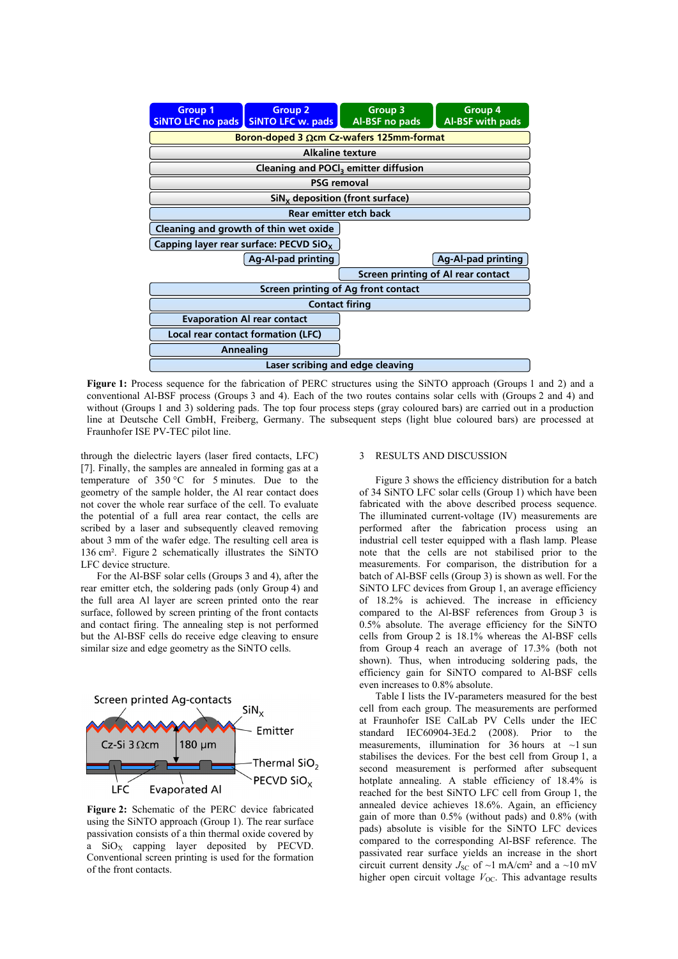

**Figure 1:** Process sequence for the fabrication of PERC structures using the SiNTO approach (Groups 1 and 2) and a conventional Al-BSF process (Groups 3 and 4). Each of the two routes contains solar cells with (Groups 2 and 4) and without (Groups 1 and 3) soldering pads. The top four process steps (gray coloured bars) are carried out in a production line at Deutsche Cell GmbH, Freiberg, Germany. The subsequent steps (light blue coloured bars) are processed at Fraunhofer ISE PV-TEC pilot line.

through the dielectric layers (laser fired contacts, LFC) [7]. Finally, the samples are annealed in forming gas at a temperature of 350 °C for 5 minutes. Due to the geometry of the sample holder, the Al rear contact does not cover the whole rear surface of the cell. To evaluate the potential of a full area rear contact, the cells are scribed by a laser and subsequently cleaved removing about 3 mm of the wafer edge. The resulting cell area is 136 cm². Figure 2 schematically illustrates the SiNTO LFC device structure.

For the Al-BSF solar cells (Groups 3 and 4), after the rear emitter etch, the soldering pads (only Group 4) and the full area Al layer are screen printed onto the rear surface, followed by screen printing of the front contacts and contact firing. The annealing step is not performed but the Al-BSF cells do receive edge cleaving to ensure similar size and edge geometry as the SiNTO cells.



**Figure 2:** Schematic of the PERC device fabricated using the SiNTO approach (Group 1). The rear surface passivation consists of a thin thermal oxide covered by a  $SiO<sub>X</sub>$  capping layer deposited by PECVD. Conventional screen printing is used for the formation of the front contacts.

## 3 RESULTS AND DISCUSSION

 Figure 3 shows the efficiency distribution for a batch of 34 SiNTO LFC solar cells (Group 1) which have been fabricated with the above described process sequence. The illuminated current-voltage (IV) measurements are performed after the fabrication process using an industrial cell tester equipped with a flash lamp. Please note that the cells are not stabilised prior to the measurements. For comparison, the distribution for a batch of Al-BSF cells (Group 3) is shown as well. For the SiNTO LFC devices from Group 1, an average efficiency of 18.2% is achieved. The increase in efficiency compared to the Al-BSF references from Group 3 is 0.5% absolute. The average efficiency for the SiNTO cells from Group 2 is 18.1% whereas the Al-BSF cells from Group 4 reach an average of 17.3% (both not shown). Thus, when introducing soldering pads, the efficiency gain for SiNTO compared to Al-BSF cells even increases to 0.8% absolute.

 Table I lists the IV-parameters measured for the best cell from each group. The measurements are performed at Fraunhofer ISE CalLab PV Cells under the IEC standard IEC60904-3Ed.2 (2008). Prior to the measurements, illumination for 36 hours at  $\sim$ 1 sun stabilises the devices. For the best cell from Group 1, a second measurement is performed after subsequent hotplate annealing. A stable efficiency of  $18.4\%$  is reached for the best SiNTO LFC cell from Group 1, the annealed device achieves 18.6%. Again, an efficiency gain of more than 0.5% (without pads) and 0.8% (with pads) absolute is visible for the SiNTO LFC devices compared to the corresponding Al-BSF reference. The passivated rear surface yields an increase in the short circuit current density  $J_{\rm SC}$  of ~1 mA/cm<sup>2</sup> and a ~10 mV higher open circuit voltage  $V_{OC}$ . This advantage results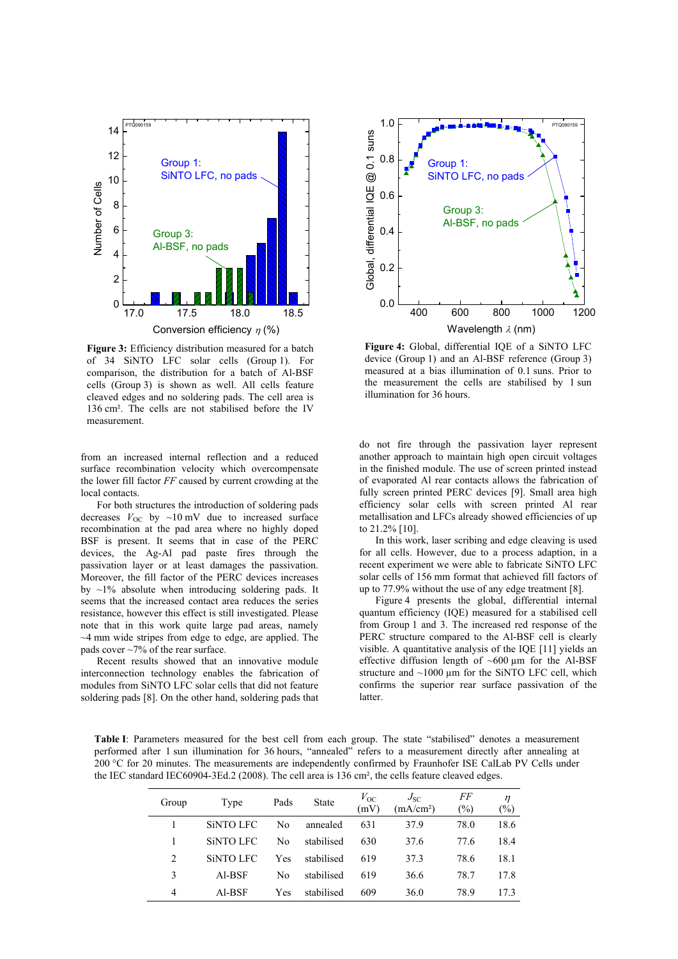

Figure 3: Efficiency distribution measured for a batch of 34 SiNTO LFC solar cells (Group 1). For comparison, the distribution for a batch of Al-BSF cells (Group 3) is shown as well. All cells feature cleaved edges and no soldering pads. The cell area is 136 cm². The cells are not stabilised before the IV measurement.

from an increased internal reflection and a reduced surface recombination velocity which overcompensate the lower fill factor *FF* caused by current crowding at the local contacts.

 For both structures the introduction of soldering pads decreases  $V_{\text{OC}}$  by ~10 mV due to increased surface recombination at the pad area where no highly doped BSF is present. It seems that in case of the PERC devices, the Ag-Al pad paste fires through the passivation layer or at least damages the passivation. Moreover, the fill factor of the PERC devices increases by  $\sim$ 1% absolute when introducing soldering pads. It seems that the increased contact area reduces the series resistance, however this effect is still investigated. Please note that in this work quite large pad areas, namely  $\sim$ 4 mm wide stripes from edge to edge, are applied. The pads cover ~7% of the rear surface.

 Recent results showed that an innovative module interconnection technology enables the fabrication of modules from SiNTO LFC solar cells that did not feature soldering pads [8]. On the other hand, soldering pads that



**Figure 4:** Global, differential IQE of a SiNTO LFC device (Group 1) and an Al-BSF reference (Group 3) measured at a bias illumination of 0.1 suns. Prior to the measurement the cells are stabilised by 1 sun illumination for 36 hours.

do not fire through the passivation layer represent another approach to maintain high open circuit voltages in the finished module. The use of screen printed instead of evaporated Al rear contacts allows the fabrication of fully screen printed PERC devices [9]. Small area high efficiency solar cells with screen printed Al rear metallisation and LFCs already showed efficiencies of up to 21.2% [10].

 In this work, laser scribing and edge cleaving is used for all cells. However, due to a process adaption, in a recent experiment we were able to fabricate SiNTO LFC solar cells of 156 mm format that achieved fill factors of up to 77.9% without the use of any edge treatment [8].

 Figure 4 presents the global, differential internal quantum efficiency (IQE) measured for a stabilised cell from Group 1 and 3. The increased red response of the PERC structure compared to the Al-BSF cell is clearly visible. A quantitative analysis of the IQE [11] yields an effective diffusion length of  $~600 \mu m$  for the Al-BSF structure and  $~1000 \mu m$  for the SiNTO LFC cell, which confirms the superior rear surface passivation of the latter.

**Table I**: Parameters measured for the best cell from each group. The state "stabilised" denotes a measurement performed after 1 sun illumination for 36 hours, "annealed" refers to a measurement directly after annealing at 200 °C for 20 minutes. The measurements are independently confirmed by Fraunhofer ISE CalLab PV Cells under the IEC standard IEC60904-3Ed.2 (2008). The cell area is 136 cm², the cells feature cleaved edges.

| Group          | Type             | Pads | <b>State</b> | $V_{\rm OC}$<br>(mV) | $J_{SC}$<br>(mA/cm <sup>2</sup> ) | FF<br>$\frac{1}{2}$ | $\eta$<br>$(\%)$ |
|----------------|------------------|------|--------------|----------------------|-----------------------------------|---------------------|------------------|
|                | <b>SINTO LFC</b> | No   | annealed     | 631                  | 37.9                              | 78.0                | 18.6             |
|                | <b>SINTO LFC</b> | No   | stabilised   | 630                  | 37.6                              | 77.6                | 18.4             |
| 2              | <b>SINTO LFC</b> | Yes  | stabilised   | 619                  | 37.3                              | 78.6                | 18.1             |
| 3              | Al-BSF           | No   | stabilised   | 619                  | 36.6                              | 78.7                | 17.8             |
| $\overline{4}$ | Al-BSF           | Yes  | stabilised   | 609                  | 36.0                              | 78.9                | 17.3             |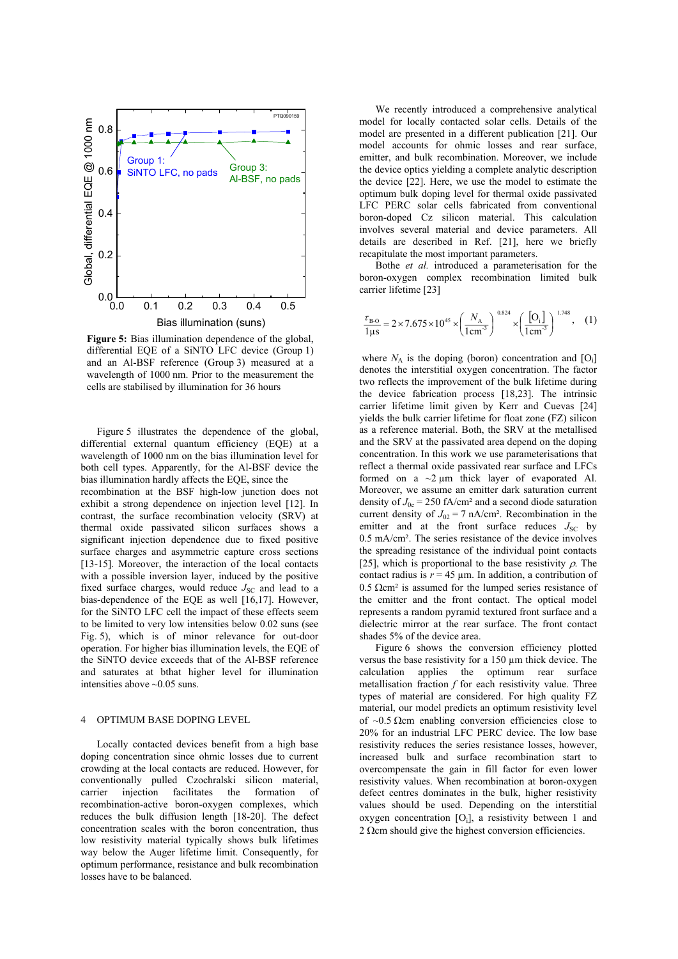

**Figure 5:** Bias illumination dependence of the global, differential EQE of a SiNTO LFC device (Group 1) and an Al-BSF reference (Group 3) measured at a wavelength of 1000 nm. Prior to the measurement the cells are stabilised by illumination for 36 hours

 Figure 5 illustrates the dependence of the global, differential external quantum efficiency (EQE) at a wavelength of 1000 nm on the bias illumination level for both cell types. Apparently, for the Al-BSF device the bias illumination hardly affects the EQE, since the

recombination at the BSF high-low junction does not exhibit a strong dependence on injection level [12]. In contrast, the surface recombination velocity (SRV) at thermal oxide passivated silicon surfaces shows a significant injection dependence due to fixed positive surface charges and asymmetric capture cross sections [13-15]. Moreover, the interaction of the local contacts with a possible inversion layer, induced by the positive fixed surface charges, would reduce  $J_{SC}$  and lead to a bias-dependence of the EQE as well [16,17]. However, for the SiNTO LFC cell the impact of these effects seem to be limited to very low intensities below 0.02 suns (see Fig. 5), which is of minor relevance for out-door operation. For higher bias illumination levels, the EQE of the SiNTO device exceeds that of the Al-BSF reference and saturates at bthat higher level for illumination intensities above ~0.05 suns.

### 4 OPTIMUM BASE DOPING LEVEL

 Locally contacted devices benefit from a high base doping concentration since ohmic losses due to current crowding at the local contacts are reduced. However, for conventionally pulled Czochralski silicon material, carrier injection facilitates the formation recombination-active boron-oxygen complexes, which reduces the bulk diffusion length [18-20]. The defect concentration scales with the boron concentration, thus low resistivity material typically shows bulk lifetimes way below the Auger lifetime limit. Consequently, for optimum performance, resistance and bulk recombination losses have to be balanced.

 We recently introduced a comprehensive analytical model for locally contacted solar cells. Details of the model are presented in a different publication [21]. Our model accounts for ohmic losses and rear surface, emitter, and bulk recombination. Moreover, we include the device optics yielding a complete analytic description the device [22]. Here, we use the model to estimate the optimum bulk doping level for thermal oxide passivated LFC PERC solar cells fabricated from conventional boron-doped Cz silicon material. This calculation involves several material and device parameters. All details are described in Ref. [21], here we briefly recapitulate the most important parameters.

 Bothe *et al.* introduced a parameterisation for the boron-oxygen complex recombination limited bulk carrier lifetime [23]

$$
\frac{\tau_{\rm B-O}}{1\,\mu\text{s}} = 2 \times 7.675 \times 10^{45} \times \left(\frac{N_{\rm A}}{1\,\text{cm}^{-3}}\right)^{0.824} \times \left(\frac{\text{[O_i]}}{\text{1cm}^{-3}}\right)^{1.748},\quad(1)
$$

where  $N_A$  is the doping (boron) concentration and  $[O_i]$ denotes the interstitial oxygen concentration. The factor two reflects the improvement of the bulk lifetime during the device fabrication process [18,23]. The intrinsic carrier lifetime limit given by Kerr and Cuevas [24] yields the bulk carrier lifetime for float zone (FZ) silicon as a reference material. Both, the SRV at the metallised and the SRV at the passivated area depend on the doping concentration. In this work we use parameterisations that reflect a thermal oxide passivated rear surface and LFCs formed on a  $\sim$ 2  $\mu$ m thick layer of evaporated Al. Moreover, we assume an emitter dark saturation current density of  $J_{0e} = 250$  fA/cm<sup>2</sup> and a second diode saturation current density of  $J_{02} = 7$  nA/cm<sup>2</sup>. Recombination in the emitter and at the front surface reduces  $J_{SC}$  by 0.5 mA/cm². The series resistance of the device involves the spreading resistance of the individual point contacts [25], which is proportional to the base resistivity  $\rho$ . The contact radius is  $r = 45 \mu m$ . In addition, a contribution of  $0.5$   $\Omega$ cm<sup>2</sup> is assumed for the lumped series resistance of the emitter and the front contact. The optical model represents a random pyramid textured front surface and a dielectric mirror at the rear surface. The front contact shades 5% of the device area.

 Figure 6 shows the conversion efficiency plotted versus the base resistivity for a 150 µm thick device. The calculation applies the optimum rear surface metallisation fraction *f* for each resistivity value. Three types of material are considered. For high quality FZ material, our model predicts an optimum resistivity level of  $\sim 0.5$  Ωcm enabling conversion efficiencies close to 20% for an industrial LFC PERC device. The low base resistivity reduces the series resistance losses, however, increased bulk and surface recombination start to overcompensate the gain in fill factor for even lower resistivity values. When recombination at boron-oxygen defect centres dominates in the bulk, higher resistivity values should be used. Depending on the interstitial oxygen concentration [Oi], a resistivity between 1 and  $2 \Omega$ cm should give the highest conversion efficiencies.